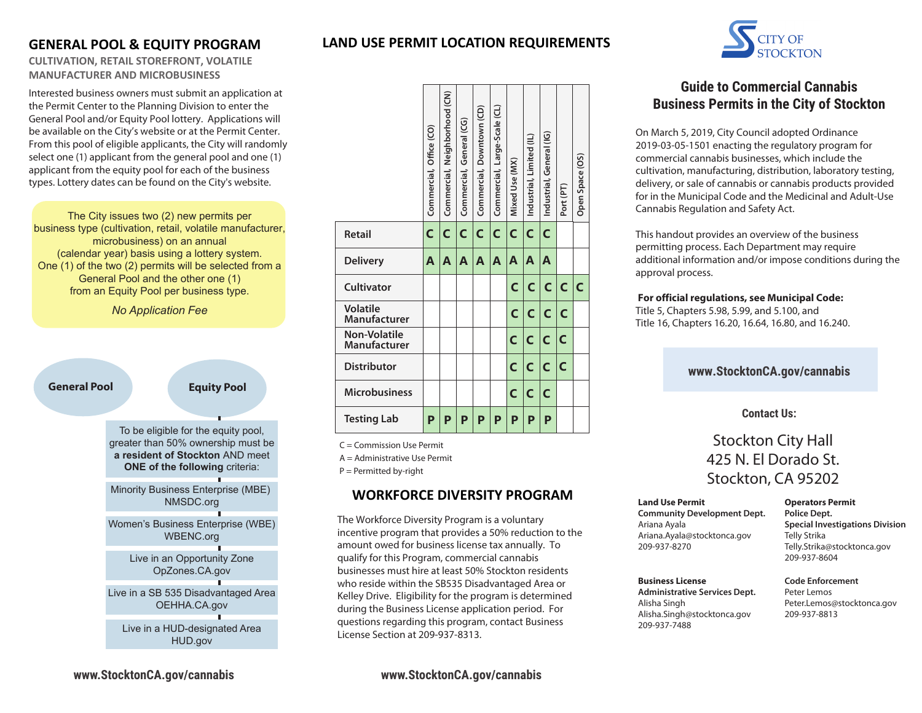# **GENERAL POOL & EQUITY PROGRAM**

## **CULTIVATION, RETAIL STOREFRONT, VOLATILE MANUFACTURER AND MICROBUSINESS**

Interested business owners must submit an application at the Permit Center to the Planning Division to enter the General Pool and/or Equity Pool lottery. Applications will be available on the City's website or at the Permit Center. From this pool of eligible applicants, the City will randomly select one (1) applicant from the general pool and one (1) applicant from the equity pool for each of the business types. Lottery dates can be found on the City's website.

The City issues two (2) new permits per business type (cultivation, retail, volatile manufacturer, microbusiness) on an annual (calendar year) basis using a lottery system. One (1) of the two (2) permits will be selected from a General Pool and the other one (1) from an Equity Pool per business type.

*No Application Fee*

#### **General Pool Equity Pool**

To be eligible for the equity pool, greater than 50% ownership must be **a resident of Stockton** AND meet **ONE of the following criteria:** 

Minority Business Enterprise (MBE) NMSDC.org

Women's Business Enterprise (WBE) WBENC.org

> Live in an Opportunity Zone OpZones.CA.gov

Live in a SB 535 Disadvantaged Area OEHHA.CA.gov

Live in a HUD-designated Area HUD.gov

| LAND USE PERMIT LOCATION REQUIREMENTS |
|---------------------------------------|
|                                       |



C = Commission Use Permit

A = Administrative Use Permit

P = Permitted by-right

## **WORKFORCE DIVERSITY PROGRAM**

The Workforce Diversity Program is a voluntary incentive program that provides a 50% reduction to the amount owed for business license tax annually. To qualify for this Program, commercial cannabis businesses must hire at least 50% Stockton residents who reside within the SB535 Disadvantaged Area or Kelley Drive. Eligibility for the program is determined during the Business License application period. For questions regarding this program, contact Business License Section at 209-937-8313.



# **Guide to Commercial Cannabis Business Permits in the City of Stockton**

On March 5, 2019, City Council adopted Ordinance 2019-03-05-1501 enacting the regulatory program for commercial cannabis businesses, which include the cultivation, manufacturing, distribution, laboratory testing, delivery, or sale of cannabis or cannabis products provided for in the Municipal Code and the Medicinal and Adult-Use Cannabis Regulation and Safety Act.

This handout provides an overview of the business permitting process. Each Department may require additional information and/or impose conditions during the approval process.

#### **For official regulations, see Municipal Code:**

Title 5, Chapters 5.98, 5.99, and 5.100, and Title 16, Chapters 16.20, 16.64, 16.80, and 16.240.

## **www.StocktonCA.gov/cannabis**

#### **Contact Us:**

# Stockton City Hall 425 N. El Dorado St. Stockton, CA 95202

#### **Land Use Permit**

**Community Development Dept.** Ariana Ayala Ariana.Ayala@stocktonca.gov 209-937-8270

**Operators Permit Police Dept. Special Investigations Division** Telly Strika Telly.Strika@stocktonca.gov 209-937-8604

#### **Business License**

**Administrative Services Dept.** Alisha Singh Alisha.Singh@stocktonca.gov 209-937-7488

#### **Code Enforcement** Peter Lemos Peter.Lemos@stocktonca.gov 209-937-8813

**www.StocktonCA.gov/cannabis**

**www.StocktonCA.gov/cannabis**